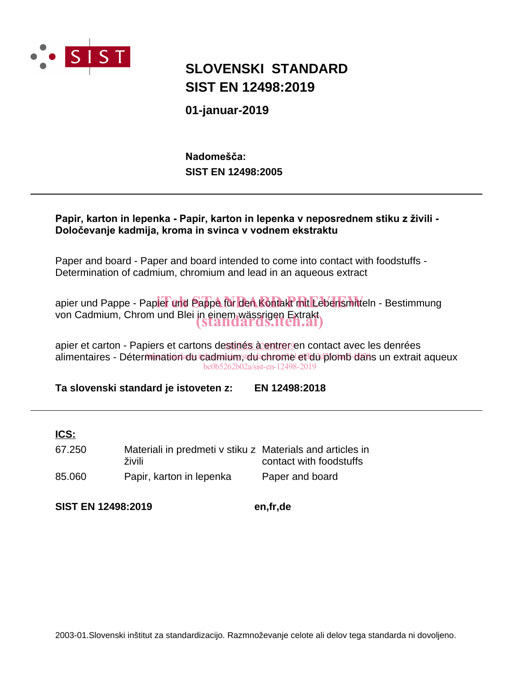

# **SIST EN 12498:2019 SLOVENSKI STANDARD**

**01-januar-2019**

**SIST EN 12498:2005** Nadomešča:

#### Papir, karton in lepenka - Papir, karton in lepenka v neposrednem stiku z živili -Določevanje kadmija, kroma in svinca v vodnem ekstraktu

Paper and board - Paper and board intended to come into contact with foodstuffs - Determination of cadmium, chromium and lead in an aqueous extract

apier und Pappe - Papier und Pappe für den Kontakt mit Lebensmitteln - Bestimmung von Cadmium, Chrom und Blei in einem wässrigen Extrakt (standards.iteh.ai)

apier et carton - Papiers et cartons destinés à entrer en contact avec les denrées alimentaires - Détermination du cadmium tou chrome et du plomb dans un extrait aqueux bc0b5262b02a/sist-en-12498-2019

**Ta slovenski standard je istoveten z: EN 12498:2018**

#### **ICS:**

| 67.250 | Materiali in predmeti v stiku z Materials and articles in<br>živili | contact with foodstuffs |
|--------|---------------------------------------------------------------------|-------------------------|
| 85.060 | Papir, karton in lepenka                                            | Paper and board         |

**SIST EN 12498:2019 en,fr,de**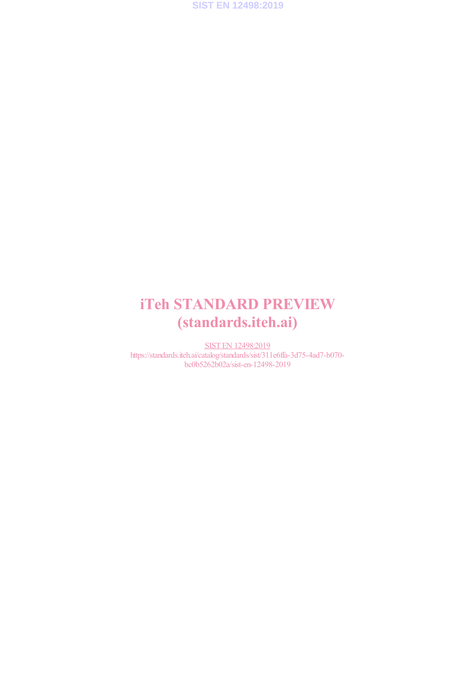

# iTeh STANDARD PREVIEW (standards.iteh.ai)

SIST EN 12498:2019 https://standards.iteh.ai/catalog/standards/sist/311e6ffa-3d75-4ad7-b070 bc0b5262b02a/sist-en-12498-2019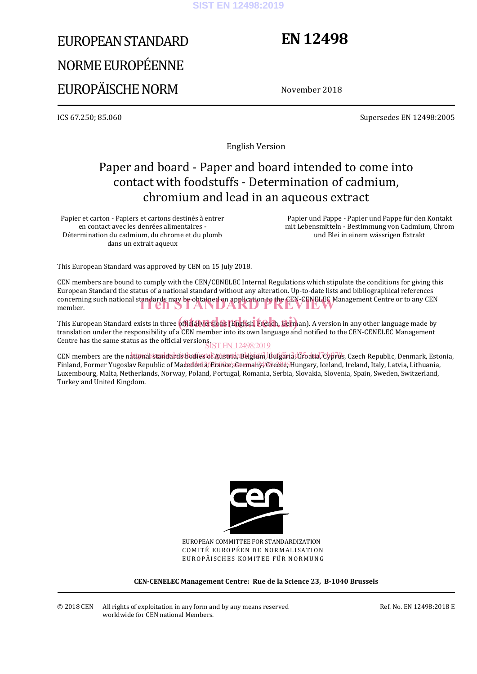#### **SIST EN 12498:2019**

# EUROPEAN STANDARD NORME EUROPÉENNE EUROPÄISCHE NORM

# **EN 12498**

November 2018

ICS 67.250; 85.060 Supersedes EN 12498:2005

English Version

## Paper and board - Paper and board intended to come into contact with foodstuffs - Determination of cadmium, chromium and lead in an aqueous extract

Papier et carton - Papiers et cartons destinés à entrer en contact avec les denrées alimentaires - Détermination du cadmium, du chrome et du plomb dans un extrait aqueux

 Papier und Pappe - Papier und Pappe für den Kontakt mit Lebensmitteln - Bestimmung von Cadmium, Chrom und Blei in einem wässrigen Extrakt

This European Standard was approved by CEN on 15 July 2018.

CEN members are bound to comply with the CEN/CENELEC Internal Regulations which stipulate the conditions for giving this European Standard the status of a national standard without any alteration. Up-to-date lists and bibliographical references concerning such national standards may be obtained on application to the CEN-CENELEC Management Centre or to any CEN member. member.

This European Standard exists in three **official versions (English, French, Germ**an). A version in any other language made by translation under the responsibility of a CEN member into its own language and notified to the CEN-CENELEC Management Centre has the same status as the official versions. SIST EN 12498:2019

CEN members are the national standards bodies of Austria, Belgium, Bulgaria, *Croa*tia, Cyprus, Czech Republic, Denmark, Estonia, Finland, Former Yugoslav Republic of Macedonia France, Germany, Greece, Hungary, Iceland, Ireland, Italy, Latvia, Lithuania, Luxembourg, Malta, Netherlands, Norway, Poland, Portugal, Romania, Serbia, Slovakia, Slovenia, Spain, Sweden, Switzerland, Turkey and United Kingdom.



EUROPEAN COMMITTEE FOR STANDARDIZATION COMITÉ EUROPÉEN DE NORMALISATION EUROPÄISCHES KOMITEE FÜR NORMUNG

**CEN-CENELEC Management Centre: Rue de la Science 23, B-1040 Brussels**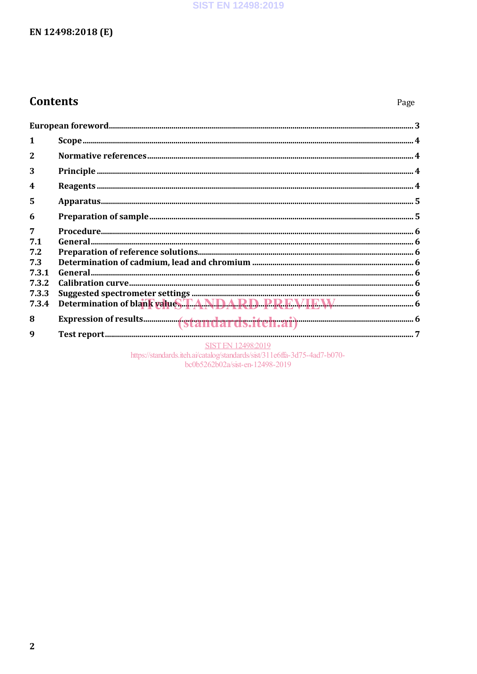#### **SIST EN 12498:2019**

### EN 12498:2018 (E)

### **Contents**

| $\mathbf{1}$     |                                                                           |  |
|------------------|---------------------------------------------------------------------------|--|
| $\mathbf{2}$     |                                                                           |  |
| 3                |                                                                           |  |
| $\boldsymbol{4}$ |                                                                           |  |
| 5                |                                                                           |  |
| 6                |                                                                           |  |
| 7                | ${\bf Procedure.}\label{ex:2} \noindent {\bf Procedure.}\label{ex:2}$     |  |
| 7.1              |                                                                           |  |
| 7.2              |                                                                           |  |
| 7.3              |                                                                           |  |
| 7.3.1            |                                                                           |  |
| 7.3.2            |                                                                           |  |
|                  |                                                                           |  |
| 7.3.3            |                                                                           |  |
| 7.3.4            |                                                                           |  |
| 8                |                                                                           |  |
| $\mathbf q$      |                                                                           |  |
|                  | <b>SIST EN 12498:2019</b>                                                 |  |
|                  | https://standards.iteh.ai/catalog/standards/sist/311e6ffa-3d75-4ad7-b070- |  |

bc0b5262b02a/sist-en-12498-2019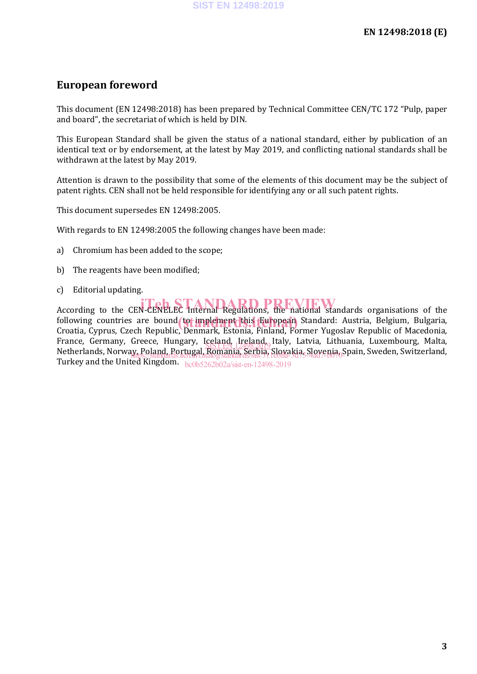### **European foreword**

This document (EN 12498:2018) has been prepared by Technical Committee CEN/TC 172 "Pulp, paper and board", the secretariat of which is held by DIN.

This European Standard shall be given the status of a national standard, either by publication of an identical text or by endorsement, at the latest by May 2019, and conflicting national standards shall be withdrawn at the latest by May 2019.

Attention is drawn to the possibility that some of the elements of this document may be the subject of patent rights. CEN shall not be held responsible for identifying any or all such patent rights.

This document supersedes EN 12498:2005.

With regards to EN 12498:2005 the following changes have been made:

- a) Chromium has been added to the scope;
- b) The reagents have been modified;
- c) Editorial updating.

According to the CEN-CENELEC Internal Regulations, the national standards organisations of the following countries are bound to implement this European Standard: Austria, Belgium, Bulgaria,<br>Croatia Cynrus Czech Republic Denmark Estonia Einland Former Yugoslav Republic of Macedonia Croatia, Cyprus, Czech Republic, Denmark, Estonia, Finland, Former Yugoslav Republic of Macedonia, France, Germany, Greece, Hungary, Iceland, Ireland, Italy, Latvia, Lithuania, Luxembourg, Malta, Netherlands, Norway, Poland, Portugal, Romania, Serbia, Slovakia, Slovenia, Spain, Sweden, Switzerland, Turkey and the United Kingdom. bc0b5262b02a/sist-en-12498-2019SIST EN 12498:2019 https://standards.iteh.ai/catalog/standards/sist/311e6ffa-3d75-4ad7-b070-<br>https://standards.iteh.ai/catalog/standards/sist/311e6ffa-3d75-4ad7-b070-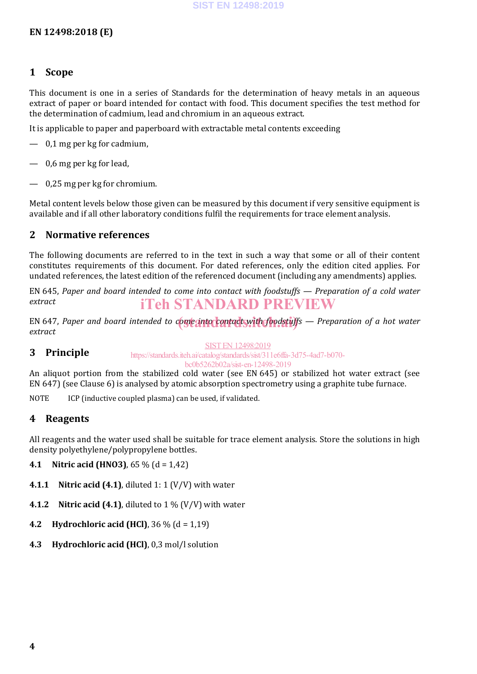#### **EN 12498:2018 (E)**

#### **1 Scope**

This document is one in a series of Standards for the determination of heavy metals in an aqueous extract of paper or board intended for contact with food. This document specifies the test method for the determination of cadmium, lead and chromium in an aqueous extract.

It is applicable to paper and paperboard with extractable metal contents exceeding

- 0,1 mg per kg for cadmium,
- 0,6 mg per kg for lead,
- 0,25 mg per kg for chromium.

Metal content levels below those given can be measured by this document if very sensitive equipment is available and if all other laboratory conditions fulfil the requirements for trace element analysis.

#### **2 Normative references**

The following documents are referred to in the text in such a way that some or all of their content constitutes requirements of this document. For dated references, only the edition cited applies. For undated references, the latest edition of the referenced document (including any amendments) applies.

EN 645, *Paper and board intended to come into contact with foodstuffs — Preparation of a cold water extract* iTeh STANDARD PREVIEW

EN 647, Paper and board intended to come into *contact with foodstuffs* — Preparation of a hot water *extract*

#### **3 Principle** SIST EN 12498:2019 https://standards.iteh.ai/catalog/standards/sist/311e6ffa-3d75-4ad7-b070 bc0b5262b02a/sist-en-12498-2019

An aliquot portion from the stabilized cold water (see EN 645) or stabilized hot water extract (see EN 647) (see Clause 6) is analysed by atomic absorption spectrometry using a graphite tube furnace.

NOTE ICP (inductive coupled plasma) can be used, if validated.

#### **4 Reagents**

All reagents and the water used shall be suitable for trace element analysis. Store the solutions in high density polyethylene/polypropylene bottles.

- **4.1 Nitric acid (HNO3)**, 65 % (d = 1,42)
- **4.1.1 Nitric acid (4.1)**, diluted 1: 1 (V/V) with water
- **4.1.2 Nitric acid (4.1)**, diluted to 1 % (V/V) with water
- **4.2 Hydrochloric acid (HCl)**, 36 % (d = 1,19)
- **4.3 Hydrochloric acid (HCl)**, 0,3 mol/l solution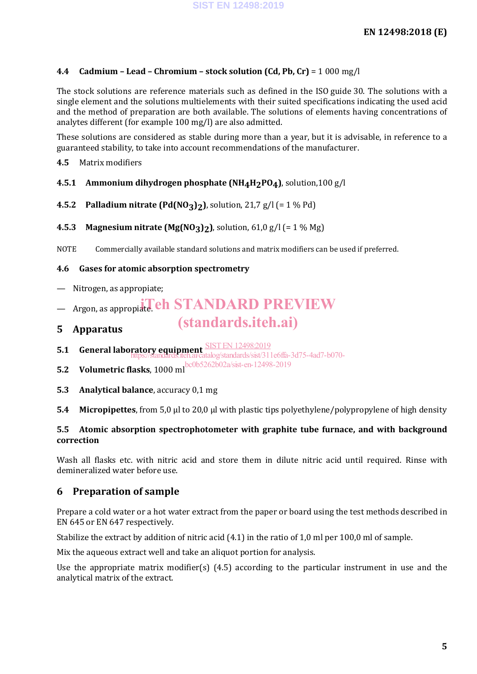#### **4.4 Cadmium – Lead – Chromium – stock solution (Cd, Pb, Cr)** = 1 000 mg/l

The stock solutions are reference materials such as defined in the ISO guide 30. The solutions with a single element and the solutions multielements with their suited specifications indicating the used acid and the method of preparation are both available. The solutions of elements having concentrations of analytes different (for example 100 mg/l) are also admitted.

These solutions are considered as stable during more than a year, but it is advisable, in reference to a guaranteed stability, to take into account recommendations of the manufacturer.

- **4.5** Matrix modifiers
- **4.5.1 Ammonium dihydrogen phosphate (NH4H2PO4)**, solution,100 g/l
- **4.5.2 Palladium nitrate**  $\text{[Pd}(\text{NO}_3)_{2})$ **, solution, 21,7 g/l (= 1 % Pd)**
- **4.5.3 Magnesium nitrate (Mg(NO3)2)**, solution, 61,0 g/l (=  $1\%$  Mg)

NOTE Commercially available standard solutions and matrix modifiers can be used if preferred.

(standards.iteh.ai)

#### **4.6 Gases for atomic absorption spectrometry**

- Nitrogen, as appropiate;
- $-$  Argon, as appropiate. Ch STANDARD PREVIEW

### **5 Apparatus**

- **5.1 General laboratory equipment** SIST EN 12498:2019 https://standards.iteh.ai/catalog/standards/sist/311e6ffa-3d75-4ad7-b070-
- **5.2 Volumetric flasks, 1000 ml**  $bc^{0b5262b02a/sist-en-12498-2019}$
- 
- **5.3 Analytical balance**, accuracy 0,1 mg

**5.4** Micropipettes, from 5,0 µl to 20,0 µl with plastic tips polyethylene/polypropylene of high density

#### **5.5 Atomic absorption spectrophotometer with graphite tube furnace, and with background correction**

Wash all flasks etc. with nitric acid and store them in dilute nitric acid until required. Rinse with demineralized water before use.

#### **6 Preparation of sample**

Prepare a cold water or a hot water extract from the paper or board using the test methods described in EN 645 or EN 647 respectively.

Stabilize the extract by addition of nitric acid (4.1) in the ratio of 1,0 ml per 100,0 ml of sample.

Mix the aqueous extract well and take an aliquot portion for analysis.

Use the appropriate matrix modifier(s)  $(4.5)$  according to the particular instrument in use and the analytical matrix of the extract.